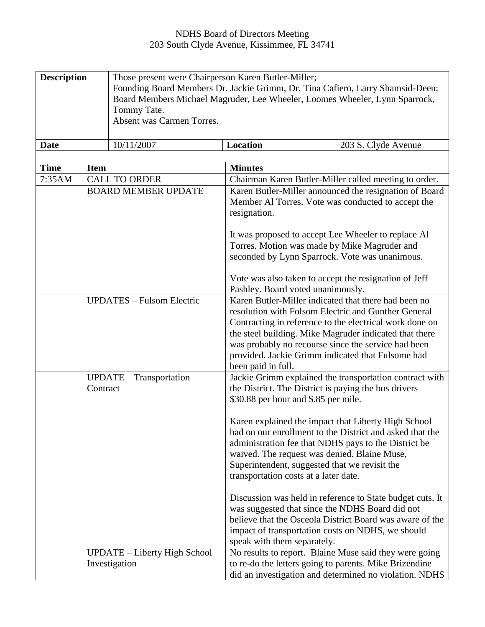## NDHS Board of Directors Meeting 203 South Clyde Avenue, Kissimmee, FL 34741

| <b>Description</b> | Those present were Chairperson Karen Butler-Miller;<br>Tommy Tate.<br>Absent was Carmen Torres. | Founding Board Members Dr. Jackie Grimm, Dr. Tina Cafiero, Larry Shamsid-Deen;<br>Board Members Michael Magruder, Lee Wheeler, Loomes Wheeler, Lynn Sparrock, |                     |
|--------------------|-------------------------------------------------------------------------------------------------|---------------------------------------------------------------------------------------------------------------------------------------------------------------|---------------------|
| <b>Date</b>        | 10/11/2007                                                                                      | Location                                                                                                                                                      | 203 S. Clyde Avenue |

| <b>Time</b> | <b>Item</b>                                          | <b>Minutes</b>                                                                                                                                                                                                                                                                                                                                                     |
|-------------|------------------------------------------------------|--------------------------------------------------------------------------------------------------------------------------------------------------------------------------------------------------------------------------------------------------------------------------------------------------------------------------------------------------------------------|
| 7:35AM      | <b>CALL TO ORDER</b>                                 | Chairman Karen Butler-Miller called meeting to order.                                                                                                                                                                                                                                                                                                              |
|             | <b>BOARD MEMBER UPDATE</b>                           | Karen Butler-Miller announced the resignation of Board<br>Member Al Torres. Vote was conducted to accept the<br>resignation.                                                                                                                                                                                                                                       |
|             |                                                      | It was proposed to accept Lee Wheeler to replace Al<br>Torres. Motion was made by Mike Magruder and<br>seconded by Lynn Sparrock. Vote was unanimous.                                                                                                                                                                                                              |
|             |                                                      | Vote was also taken to accept the resignation of Jeff<br>Pashley. Board voted unanimously.                                                                                                                                                                                                                                                                         |
|             | <b>UPDATES - Fulsom Electric</b>                     | Karen Butler-Miller indicated that there had been no<br>resolution with Folsom Electric and Gunther General<br>Contracting in reference to the electrical work done on<br>the steel building. Mike Magruder indicated that there<br>was probably no recourse since the service had been<br>provided. Jackie Grimm indicated that Fulsome had<br>been paid in full. |
|             | <b>UPDATE</b> - Transportation<br>Contract           | Jackie Grimm explained the transportation contract with<br>the District. The District is paying the bus drivers<br>\$30.88 per hour and \$.85 per mile.                                                                                                                                                                                                            |
|             |                                                      | Karen explained the impact that Liberty High School<br>had on our enrollment to the District and asked that the<br>administration fee that NDHS pays to the District be<br>waived. The request was denied. Blaine Muse,<br>Superintendent, suggested that we revisit the<br>transportation costs at a later date.                                                  |
|             |                                                      | Discussion was held in reference to State budget cuts. It<br>was suggested that since the NDHS Board did not<br>believe that the Osceola District Board was aware of the<br>impact of transportation costs on NDHS, we should<br>speak with them separately.                                                                                                       |
|             | <b>UPDATE</b> – Liberty High School<br>Investigation | No results to report. Blaine Muse said they were going<br>to re-do the letters going to parents. Mike Brizendine<br>did an investigation and determined no violation. NDHS                                                                                                                                                                                         |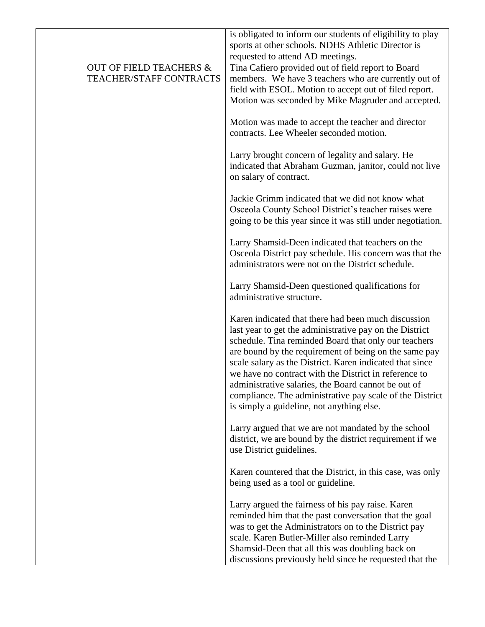|                                    | is obligated to inform our students of eligibility to play<br>sports at other schools. NDHS Athletic Director is |
|------------------------------------|------------------------------------------------------------------------------------------------------------------|
|                                    | requested to attend AD meetings.                                                                                 |
| <b>OUT OF FIELD TEACHERS &amp;</b> | Tina Cafiero provided out of field report to Board                                                               |
| <b>TEACHER/STAFF CONTRACTS</b>     | members. We have 3 teachers who are currently out of                                                             |
|                                    | field with ESOL. Motion to accept out of filed report.                                                           |
|                                    | Motion was seconded by Mike Magruder and accepted.                                                               |
|                                    |                                                                                                                  |
|                                    | Motion was made to accept the teacher and director                                                               |
|                                    | contracts. Lee Wheeler seconded motion.                                                                          |
|                                    |                                                                                                                  |
|                                    | Larry brought concern of legality and salary. He                                                                 |
|                                    | indicated that Abraham Guzman, janitor, could not live                                                           |
|                                    | on salary of contract.                                                                                           |
|                                    |                                                                                                                  |
|                                    | Jackie Grimm indicated that we did not know what                                                                 |
|                                    | Osceola County School District's teacher raises were                                                             |
|                                    | going to be this year since it was still under negotiation.                                                      |
|                                    |                                                                                                                  |
|                                    | Larry Shamsid-Deen indicated that teachers on the                                                                |
|                                    | Osceola District pay schedule. His concern was that the                                                          |
|                                    | administrators were not on the District schedule.                                                                |
|                                    |                                                                                                                  |
|                                    | Larry Shamsid-Deen questioned qualifications for                                                                 |
|                                    | administrative structure.                                                                                        |
|                                    |                                                                                                                  |
|                                    | Karen indicated that there had been much discussion                                                              |
|                                    | last year to get the administrative pay on the District                                                          |
|                                    | schedule. Tina reminded Board that only our teachers                                                             |
|                                    | are bound by the requirement of being on the same pay                                                            |
|                                    | scale salary as the District. Karen indicated that since                                                         |
|                                    | we have no contract with the District in reference to                                                            |
|                                    | administrative salaries, the Board cannot be out of                                                              |
|                                    | compliance. The administrative pay scale of the District                                                         |
|                                    | is simply a guideline, not anything else.                                                                        |
|                                    |                                                                                                                  |
|                                    | Larry argued that we are not mandated by the school                                                              |
|                                    | district, we are bound by the district requirement if we                                                         |
|                                    | use District guidelines.                                                                                         |
|                                    |                                                                                                                  |
|                                    | Karen countered that the District, in this case, was only                                                        |
|                                    | being used as a tool or guideline.                                                                               |
|                                    |                                                                                                                  |
|                                    | Larry argued the fairness of his pay raise. Karen                                                                |
|                                    | reminded him that the past conversation that the goal                                                            |
|                                    | was to get the Administrators on to the District pay                                                             |
|                                    | scale. Karen Butler-Miller also reminded Larry                                                                   |
|                                    | Shamsid-Deen that all this was doubling back on                                                                  |
|                                    | discussions previously held since he requested that the                                                          |
|                                    |                                                                                                                  |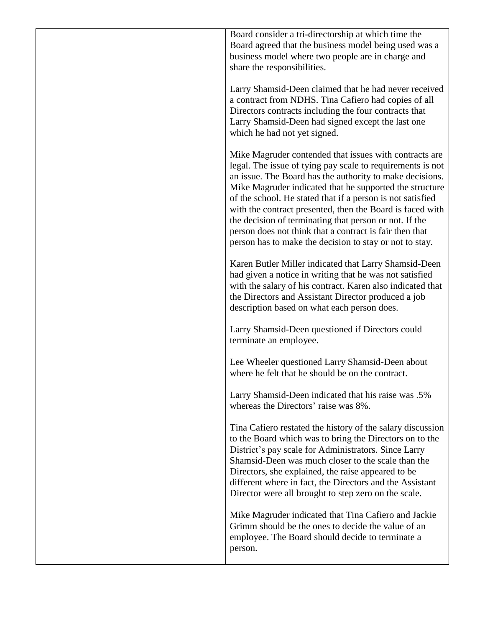| Board consider a tri-directorship at which time the<br>Board agreed that the business model being used was a<br>business model where two people are in charge and<br>share the responsibilities.                                                                                                                                                                                                                                                                                                                                                       |
|--------------------------------------------------------------------------------------------------------------------------------------------------------------------------------------------------------------------------------------------------------------------------------------------------------------------------------------------------------------------------------------------------------------------------------------------------------------------------------------------------------------------------------------------------------|
| Larry Shamsid-Deen claimed that he had never received<br>a contract from NDHS. Tina Cafiero had copies of all<br>Directors contracts including the four contracts that<br>Larry Shamsid-Deen had signed except the last one<br>which he had not yet signed.                                                                                                                                                                                                                                                                                            |
| Mike Magruder contended that issues with contracts are<br>legal. The issue of tying pay scale to requirements is not<br>an issue. The Board has the authority to make decisions.<br>Mike Magruder indicated that he supported the structure<br>of the school. He stated that if a person is not satisfied<br>with the contract presented, then the Board is faced with<br>the decision of terminating that person or not. If the<br>person does not think that a contract is fair then that<br>person has to make the decision to stay or not to stay. |
| Karen Butler Miller indicated that Larry Shamsid-Deen<br>had given a notice in writing that he was not satisfied<br>with the salary of his contract. Karen also indicated that<br>the Directors and Assistant Director produced a job<br>description based on what each person does.                                                                                                                                                                                                                                                                   |
| Larry Shamsid-Deen questioned if Directors could<br>terminate an employee.                                                                                                                                                                                                                                                                                                                                                                                                                                                                             |
| Lee Wheeler questioned Larry Shamsid-Deen about<br>where he felt that he should be on the contract.                                                                                                                                                                                                                                                                                                                                                                                                                                                    |
| Larry Shamsid-Deen indicated that his raise was .5%<br>whereas the Directors' raise was 8%.                                                                                                                                                                                                                                                                                                                                                                                                                                                            |
| Tina Cafiero restated the history of the salary discussion<br>to the Board which was to bring the Directors on to the<br>District's pay scale for Administrators. Since Larry<br>Shamsid-Deen was much closer to the scale than the<br>Directors, she explained, the raise appeared to be<br>different where in fact, the Directors and the Assistant<br>Director were all brought to step zero on the scale.                                                                                                                                          |
| Mike Magruder indicated that Tina Cafiero and Jackie<br>Grimm should be the ones to decide the value of an<br>employee. The Board should decide to terminate a<br>person.                                                                                                                                                                                                                                                                                                                                                                              |